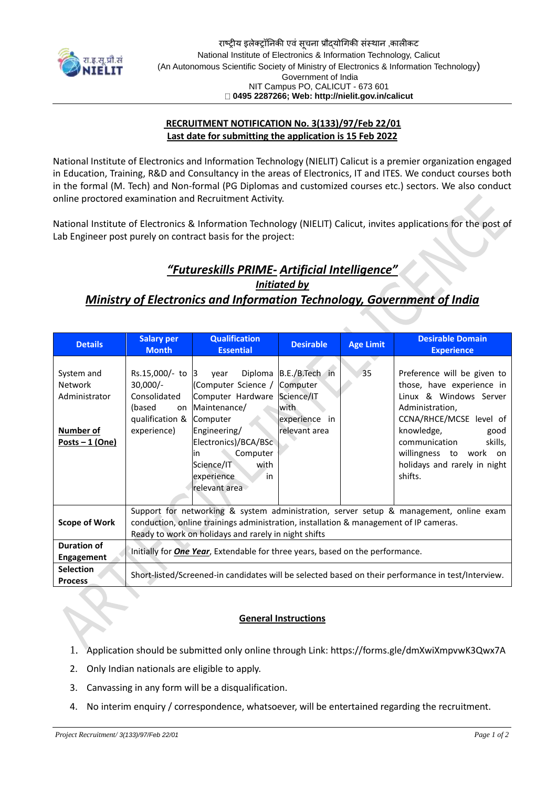

## **RECRUITMENT NOTIFICATION No. 3(133)/97/Feb 22/01 Last date for submitting the application is 15 Feb 2022**

National Institute of Electronics and Information Technology (NIELIT) Calicut is a premier organization engaged in Education, Training, R&D and Consultancy in the areas of Electronics, IT and ITES. We conduct courses both in the formal (M. Tech) and Non-formal (PG Diplomas and customized courses etc.) sectors. We also conduct online proctored examination and Recruitment Activity.

National Institute of Electronics & Information Technology (NIELIT) Calicut, invites applications for the post of Lab Engineer post purely on contract basis for the project:

## *"Futureskills PRIME- Artificial Intelligence"*

*Initiated by Ministry of Electronics and Information Technology, Government of India*

| <b>Details</b>                                                                        | <b>Salary per</b><br><b>Month</b>                                                                                                                                                                                                       | <b>Qualification</b><br><b>Essential</b>                                                                                                                                                                      | <b>Desirable</b>                                                                      | <b>Age Limit</b> | <b>Desirable Domain</b><br><b>Experience</b>                                                                                                                                                                                                            |
|---------------------------------------------------------------------------------------|-----------------------------------------------------------------------------------------------------------------------------------------------------------------------------------------------------------------------------------------|---------------------------------------------------------------------------------------------------------------------------------------------------------------------------------------------------------------|---------------------------------------------------------------------------------------|------------------|---------------------------------------------------------------------------------------------------------------------------------------------------------------------------------------------------------------------------------------------------------|
| System and<br><b>Network</b><br>Administrator<br><b>Number of</b><br>Posts $-1$ (One) | Rs.15,000/- to 3<br>$30,000/-$<br>Consolidated<br>(based<br>on<br>qualification &<br>experience)                                                                                                                                        | Diploma<br>vear<br>(Computer Science /<br>Computer Hardware<br>Maintenance/<br>Computer<br>Engineering/<br>Electronics)/BCA/BSc<br>Computer<br>lin<br>with<br>Science/IT<br>in<br>experience<br>relevant area | B.E./B.Tech in<br>Computer<br>Science/IT<br>with<br>experience<br>in<br>relevant area | 35               | Preference will be given to<br>those, have experience in<br>Linux & Windows Server<br>Administration,<br>CCNA/RHCE/MCSE level of<br>knowledge,<br>good<br>communication<br>skills,<br>willingness to work on<br>holidays and rarely in night<br>shifts. |
| <b>Scope of Work</b>                                                                  | Support for networking & system administration, server setup & management, online exam<br>conduction, online trainings administration, installation & management of IP cameras.<br>Ready to work on holidays and rarely in night shifts |                                                                                                                                                                                                               |                                                                                       |                  |                                                                                                                                                                                                                                                         |
| Duration of<br><b>Engagement</b>                                                      | Initially for <b>One Year</b> , Extendable for three years, based on the performance.                                                                                                                                                   |                                                                                                                                                                                                               |                                                                                       |                  |                                                                                                                                                                                                                                                         |
| <b>Selection</b><br><b>Process</b>                                                    | Short-listed/Screened-in candidates will be selected based on their performance in test/Interview.                                                                                                                                      |                                                                                                                                                                                                               |                                                                                       |                  |                                                                                                                                                                                                                                                         |

## **General Instructions**

- 1. Application should be submitted only online through Link:<https://forms.gle/dmXwiXmpvwK3Qwx7A>
- 2. Only Indian nationals are eligible to apply.
- 3. Canvassing in any form will be a disqualification.
- 4. No interim enquiry / correspondence, whatsoever, will be entertained regarding the recruitment.